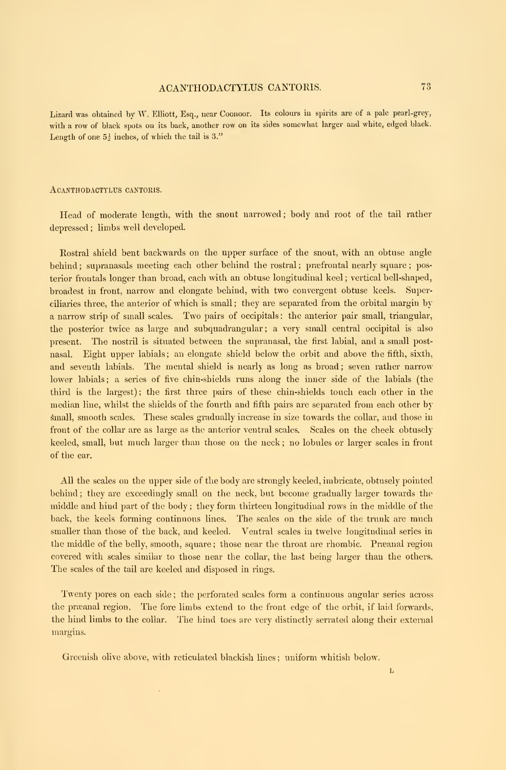Lizard was obtained by W. Elliott, Esq., near Coonoor. Its colours in spirits are of a pale pearl-grey, with <sup>a</sup> row of black spots on its back, another row on its sides somewhat larger and white, edged black. Length of one  $5\frac{1}{2}$  inches, of which the tail is 3."

## ACANTHODACTTLUS CANTORIS.

Head of moderate length, with the snout narrowed ; body and root of the tail rather depressed ; limbs well developed.

Rostral shield bent backwards on the upper surface of the snout, with an obtuse angle behind; supranasals meeting each other behind the rostral; præfrontal nearly square; posterior frontals longer than broad, each with an obtuse longitudinal keel ; vertical bell-shaped, broadest in front, narrow and elongate behind, with two convergent obtuse keels. Superciliaries three, the anterior of which is small ; they are separated from the orbital margin by <sup>a</sup> narrow strip of small scales. Two pairs of occipitals : the anterior pair small, triangular, the posterior twice as large and subquadrangular; a very small central occipital is also present. The nostril is situated between the supranasal, the first labial, and <sup>a</sup> small postnasal. Eight upper labials; an elongate shield below the orbit and above the fifth, sixth, and seventh labials. The mental shield is nearly as long as broad; seven rather narrow lower labials; a series of five chin-shields runs along the inner side of the labials (the third is the largest); the first three pairs of these chin-shields touch each other in the median line, whilst the shields of the fourth and fifth pairs are separated from each other by small, smooth scales. These scales gradually increase in size towards the collar, and those in front of the collar are as large as the anterior ventral scales. Scales on the cheek obtusely keeled, small, but much larger than those on the neck ; no lobules or larger scales in front of the ear.

All the scales on the upper side of the body are strongly keeled, imbricate, obtusely pointed behind ; they are exceedingly small on the neck, but become gradually larger towards the middle and hind part of the body ; they form thirteen longitudinal rows in the middle of the back, the keels forming continuous lines. The scales on the side of the trunk are much smaller than those of the back, and keeled. Ventral scales in twelve longitudinal series in the middle of the belly, smooth, square; those near the throat are rhombic. Preanal region covered with scales similar to those near the collar, the last being larger than the others. The scales of the tail are keeled and disposed in rings.

Twenty pores on each side ; the perforated scales form <sup>a</sup> continuous angular series across the præanal region. The fore limbs extend to the front edge of the orbit, if laid forwards, the hind limbs to the collar. The hind toes are very distinctly serrated along their external margins.

Greenish olive above, with reticulated blackish lines ; uniform whitish below.

 $\mathbf{L}$